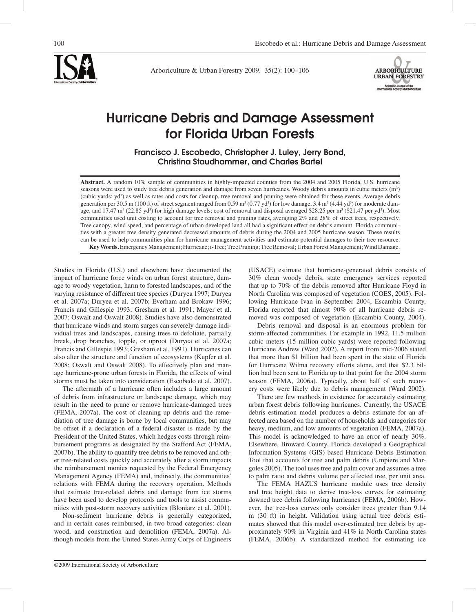Arboriculture & Urban Forestry 2009. 35(2): 100–106



# Hurricane Debris and Damage Assessment for Florida Urban Forests

Francisco J. Escobedo, Christopher J. Luley, Jerry Bond, Christina Staudhammer, and Charles Bartel

**Abstract.** A random 10% sample of communities in highly-impacted counties from the 2004 and 2005 Florida, U.S. hurricane seasons were used to study tree debris generation and damage from seven hurricanes. Woody debris amounts in cubic meters (m<sup>3</sup>) (cubic yards; yd<sup>3</sup>) as well as rates and costs for cleanup, tree removal and pruning were obtained for these events. Average debris generation per 30.5 m (100 ft) of street segment ranged from 0.59 m<sup>3</sup> (0.77 yd<sup>3</sup>) for low damage, 3.4 m<sup>3</sup> (4.44 yd<sup>3</sup>) for moderate damage, and 17.47  $\text{m}^3$  (22.85 yd<sup>3</sup>) for high damage levels; cost of removal and disposal averaged \$28.25 per  $\text{m}^3$  (\$21.47 per yd<sup>3</sup>). Most communities used unit costing to account for tree removal and pruning rates, averaging 2% and 28% of street trees, respectively. Tree canopy, wind speed, and percentage of urban developed land all had a significant effect on debris amount. Florida communities with a greater tree density generated decreased amounts of debris during the 2004 and 2005 hurricane season. These results can be used to help communities plan for hurricane management activities and estimate potential damages to their tree resource. **Key Words.** Emergency Management; Hurricane; i-Tree; Tree Pruning; Tree Removal; Urban Forest Management; Wind Damage.

Studies in Florida (U.S.) and elsewhere have documented the impact of hurricane force winds on urban forest structure, damage to woody vegetation, harm to forested landscapes, and of the varying resistance of different tree species (Duryea 1997; Duryea et al. 2007a; Duryea et al. 2007b; Everham and Brokaw 1996; Francis and Gillespie 1993; Gresham et al. 1991; Mayer et al. 2007; Oswalt and Oswalt 2008). Studies have also demonstrated that hurricane winds and storm surges can severely damage individual trees and landscapes, causing trees to defoliate, partially break, drop branches, topple, or uproot (Duryea et al. 2007a; Francis and Gillespie 1993; Gresham et al. 1991). Hurricanes can also alter the structure and function of ecosystems (Kupfer et al. 2008; Oswalt and Oswalt 2008). To effectively plan and manage hurricane-prone urban forests in Florida, the effects of wind storms must be taken into consideration (Escobedo et al. 2007).

The aftermath of a hurricane often includes a large amount of debris from infrastructure or landscape damage, which may result in the need to prune or remove hurricane-damaged trees (FEMA, 2007a). The cost of cleaning up debris and the remediation of tree damage is borne by local communities, but may be offset if a declaration of a federal disaster is made by the President of the United States, which hedges costs through reimbursement programs as designated by the Stafford Act (FEMA, 2007b). The ability to quantify tree debris to be removed and other tree-related costs quickly and accurately after a storm impacts the reimbursement monies requested by the Federal Emergency Management Agency (FEMA) and, indirectly, the communities' relations with FEMA during the recovery operation. Methods that estimate tree-related debris and damage from ice storms have been used to develop protocols and tools to assist communities with post-storm recovery activities (Bloniarz et al. 2001).

Non-sediment hurricane debris is generally categorized, and in certain cases reimbursed, in two broad categories: clean wood, and construction and demolition (FEMA, 2007a). Although models from the United States Army Corps of Engineers

(USACE) estimate that hurricane-generated debris consists of 30% clean woody debris, state emergency services reported that up to 70% of the debris removed after Hurricane Floyd in North Carolina was composed of vegetation (COES, 2005). Following Hurricane Ivan in September 2004, Escambia County, Florida reported that almost 90% of all hurricane debris removed was composed of vegetation (Escambia County, 2004).

Debris removal and disposal is an enormous problem for storm-affected communities. For example in 1992, 11.5 million cubic meters (15 million cubic yards) were reported following Hurricane Andrew (Ward 2002). A report from mid-2006 stated that more than \$1 billion had been spent in the state of Florida for Hurricane Wilma recovery efforts alone, and that \$2.3 billion had been sent to Florida up to that point for the 2004 storm season (FEMA, 2006a). Typically, about half of such recovery costs were likely due to debris management (Ward 2002).

There are few methods in existence for accurately estimating urban forest debris following hurricanes. Currently, the USACE debris estimation model produces a debris estimate for an affected area based on the number of households and categories for heavy, medium, and low amounts of vegetation (FEMA, 2007a). This model is acknowledged to have an error of nearly 30%. Elsewhere, Broward County, Florida developed a Geographical Information Systems (GIS) based Hurricane Debris Estimation Tool that accounts for tree and palm debris (Umpiere and Margoles 2005). The tool uses tree and palm cover and assumes a tree to palm ratio and debris volume per affected tree, per unit area.

The FEMA HAZUS hurricane module uses tree density and tree height data to derive tree-loss curves for estimating downed tree debris following hurricanes (FEMA, 2006b). However, the tree-loss curves only consider trees greater than 9.14 m (30 ft) in height. Validation using actual tree debris estimates showed that this model over-estimated tree debris by approximately 90% in Virginia and 41% in North Carolina states (FEMA, 2006b). A standardized method for estimating ice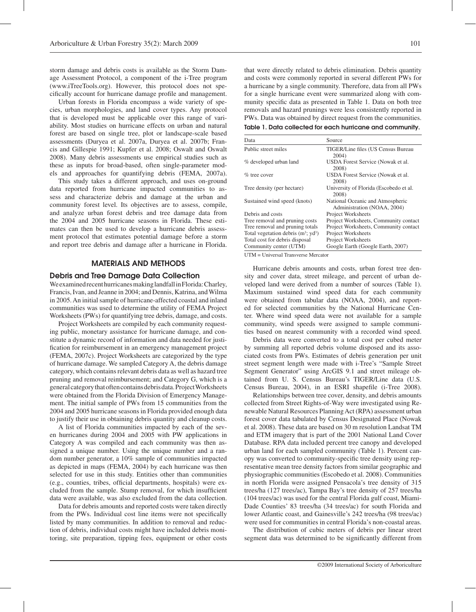storm damage and debris costs is available as the Storm Damage Assessment Protocol, a component of the i-Tree program (www.iTreeTools.org). However, this protocol does not specifically account for hurricane damage profile and management.

Urban forests in Florida encompass a wide variety of species, urban morphologies, and land cover types. Any protocol that is developed must be applicable over this range of variability. Most studies on hurricane effects on urban and natural forest are based on single tree, plot or landscape-scale based assessments (Duryea et al. 2007a, Duryea et al. 2007b; Francis and Gillespie 1991; Kupfer et al. 2008; Oswalt and Oswalt 2008). Many debris assessments use empirical studies such as these as inputs for broad-based, often single-parameter models and approaches for quantifying debris (FEMA, 2007a).

This study takes a different approach, and uses on-ground data reported from hurricane impacted communities to assess and characterize debris and damage at the urban and community forest level. Its objectives are to assess, compile, and analyze urban forest debris and tree damage data from the 2004 and 2005 hurricane seasons in Florida. These estimates can then be used to develop a hurricane debris assessment protocol that estimates potential damage before a storm and report tree debris and damage after a hurricane in Florida.

## MATERIALS AND METHODS

#### Debris and Tree Damage Data Collection

We examined recent hurricanes making landfall in Florida: Charley, Francis, Ivan, and Jeanne in 2004; and Dennis, Katrina, and Wilma in 2005. An initial sample of hurricane-affected coastal and inland communities was used to determine the utility of FEMA Project Worksheets (PWs) for quantifying tree debris, damage, and costs.

Project Worksheets are compiled by each community requesting public, monetary assistance for hurricane damage, and constitute a dynamic record of information and data needed for justification for reimbursement in an emergency management project (FEMA, 2007c). Project Worksheets are categorized by the type of hurricane damage. We sampled Category A, the debris damage category, which contains relevant debris data as well as hazard tree pruning and removal reimbursement; and Category G, which is a general category that often contains debris data. Project Worksheets were obtained from the Florida Division of Emergency Management. The initial sample of PWs from 15 communities from the 2004 and 2005 hurricane seasons in Florida provided enough data to justify their use in obtaining debris quantity and cleanup costs.

A list of Florida communities impacted by each of the seven hurricanes during 2004 and 2005 with PW applications in Category A was compiled and each community was then assigned a unique number. Using the unique number and a random number generator, a 10% sample of communities impacted as depicted in maps (FEMA, 2004) by each hurricane was then selected for use in this study. Entities other than communities (e.g., counties, tribes, official departments, hospitals) were excluded from the sample. Stump removal, for which insufficient data were available, was also excluded from the data collection.

Data for debris amounts and reported costs were taken directly from the PWs. Individual cost line items were not specifically listed by many communities. In addition to removal and reduction of debris, individual costs might have included debris monitoring, site preparation, tipping fees, equipment or other costs that were directly related to debris elimination. Debris quantity and costs were commonly reported in several different PWs for a hurricane by a single community. Therefore, data from all PWs for a single hurricane event were summarized along with community specific data as presented in Table 1. Data on both tree removals and hazard prunings were less consistently reported in PWs. Data was obtained by direct request from the communities.

Table 1. Data collected for each hurricane and community.

| Data                                  | Source                                                          |
|---------------------------------------|-----------------------------------------------------------------|
| Public street miles                   | TIGER/Line files (US Census Bureau<br>2004)                     |
| % developed urban land                | USDA Forest Service (Nowak et al.<br>2008)                      |
| $%$ tree cover                        | USDA Forest Service (Nowak et al.<br>2008)                      |
| Tree density (per hectare)            | University of Florida (Escobedo et al.<br>2008)                 |
| Sustained wind speed (knots)          | National Oceanic and Atmospheric<br>Administration (NOAA, 2004) |
| Debris and costs                      | Project Worksheets                                              |
| Tree removal and pruning costs        | Project Worksheets, Community contact                           |
| Tree removal and pruning totals       | Project Worksheets, Community contact                           |
| Total vegetation debris $(m^3; yd^3)$ | Project Worksheets                                              |
| Total cost for debris disposal        | Project Worksheets                                              |
| Community center (UTM)                | Google Earth (Google Earth, 2007)                               |

UTM = Universal Transverse Mercator

Hurricane debris amounts and costs, urban forest tree density and cover data, street mileage, and percent of urban developed land were derived from a number of sources (Table 1). Maximum sustained wind speed data for each community were obtained from tabular data (NOAA, 2004), and reported for selected communities by the National Hurricane Center. Where wind speed data were not available for a sample community, wind speeds were assigned to sample communities based on nearest community with a recorded wind speed.

Debris data were converted to a total cost per cubed meter by summing all reported debris volume disposed and its associated costs from PWs. Estimates of debris generation per unit street segment length were made with i-Tree's "Sample Street Segment Generator" using ArcGIS 9.1 and street mileage obtained from U. S. Census Bureau's TIGER/Line data (U.S. Census Bureau, 2004), in an ESRI shapefile (i-Tree 2008).

Relationships between tree cover, density, and debris amounts collected from Street Rights-of-Way were investigated using Renewable Natural Resources Planning Act (RPA) assessment urban forest cover data tabulated by Census Designated Place (Nowak et al. 2008). These data are based on 30 m resolution Landsat TM and ETM imagery that is part of the 2001 National Land Cover Database. RPA data included percent tree canopy and developed urban land for each sampled community (Table 1). Percent canopy was converted to community-specific tree density using representative mean tree density factors from similar geographic and physiographic communities (Escobedo et al. 2008). Communities in north Florida were assigned Pensacola's tree density of 315 trees/ha (127 trees/ac), Tampa Bay's tree density of 257 trees/ha (104 trees/ac) was used for the central Florida gulf coast, Miami-Dade Counties' 83 trees/ha (34 trees/ac) for south Florida and lower Atlantic coast, and Gainesville's 242 trees/ha (98 trees/ac) were used for communities in central Florida's non-coastal areas.

The distribution of cubic meters of debris per linear street segment data was determined to be significantly different from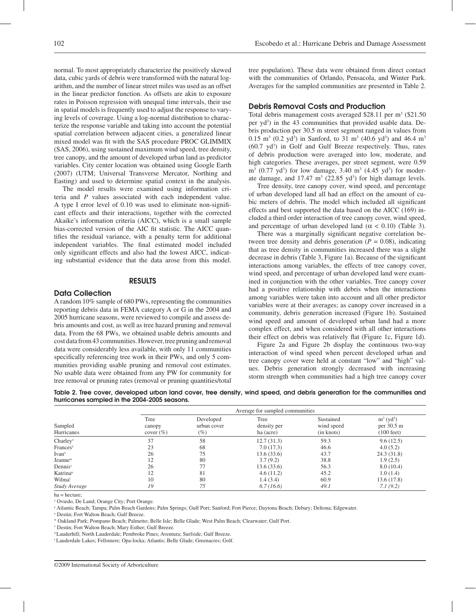normal. To most appropriately characterize the positively skewed data, cubic yards of debris were transformed with the natural logarithm, and the number of linear street miles was used as an offset in the linear predictor function. As offsets are akin to exposure rates in Poisson regression with unequal time intervals, their use in spatial models is frequently used to adjust the response to varying levels of coverage. Using a log-normal distribution to characterize the response variable and taking into account the potential spatial correlation between adjacent cities, a generalized linear mixed model was fit with the SAS procedure PROC GLIMMIX (SAS, 2006), using sustained maximum wind speed, tree density, tree canopy, and the amount of developed urban land as predictor variables. City center location was obtained using Google Earth (2007) (UTM; Universal Transverse Mercator, Northing and Easting) and used to determine spatial context in the analysis.

The model results were examined using information criteria and *P* values associated with each independent value. A type I error level of 0.10 was used to eliminate non-significant effects and their interactions, together with the corrected Akaike's information criteria (AICC), which is a small sample bias-corrected version of the AIC fit statistic. The AICC quantifies the residual variance, with a penalty term for additional independent variables. The final estimated model included only significant effects and also had the lowest AICC, indicating substantial evidence that the data arose from this model.

#### RESULTS

#### Data Collection

A random 10% sample of 680 PWs, representing the communities reporting debris data in FEMA category A or G in the 2004 and 2005 hurricane seasons, were reviewed to compile and assess debris amounts and cost, as well as tree hazard pruning and removal data. From the 68 PWs, we obtained usable debris amounts and cost data from 43 communities. However, tree pruning and removal data were considerably less available, with only 11 communities specifically referencing tree work in their PWs, and only 5 communities providing usable pruning and removal cost estimates. No usable data were obtained from any PW for community for tree removal or pruning rates (removal or pruning quantities/total

tree population). These data were obtained from direct contact with the communities of Orlando, Pensacola, and Winter Park. Averages for the sampled communities are presented in Table 2.

## Debris Removal Costs and Production

Total debris management costs averaged \$28.11 per m<sup>3</sup> (\$21.50 per yd<sup>3</sup>) in the 43 communities that provided usable data. Debris production per 30.5 m street segment ranged in values from 0.15 m<sup>3</sup> (0.2 yd<sup>3</sup>) in Sanford, to 31 m<sup>3</sup> (40.6 yd<sup>3</sup>) and 46.4 m<sup>3</sup> (60.7 yd<sup>3</sup>) in Golf and Gulf Breeze respectively. Thus, rates of debris production were averaged into low, moderate, and high categories. These averages, per street segment, were 0.59  $\rm m^3$  (0.77 yd<sup>3</sup>) for low damage, 3.40  $\rm m^3$  (4.45 yd<sup>3</sup>) for moderate damage, and  $17.47 \text{ m}^3$  (22.85 yd<sup>3</sup>) for high damage levels.

Tree density, tree canopy cover, wind speed, and percentage of urban developed land all had an effect on the amount of cubic meters of debris. The model which included all significant effects and best supported the data based on the AICC (169) included a third order interaction of tree canopy cover, wind speed, and percentage of urban developed land ( $\alpha$  < 0.10) (Table 3).

There was a marginally significant negative correlation between tree density and debris generation  $(P = 0.08)$ , indicating that as tree density in communities increased there was a slight decrease in debris (Table 3, Figure 1a). Because of the significant interactions among variables, the effects of tree canopy cover, wind speed, and percentage of urban developed land were examined in conjunction with the other variables. Tree canopy cover had a positive relationship with debris when the interactions among variables were taken into account and all other predictor variables were at their averages; as canopy cover increased in a community, debris generation increased (Figure 1b). Sustained wind speed and amount of developed urban land had a more complex effect, and when considered with all other interactions their effect on debris was relatively flat (Figure 1c, Figure 1d).

Figure 2a and Figure 2b display the continuous two-way interaction of wind speed when percent developed urban and tree canopy cover were held at constant "low" and "high" values. Debris generation strongly decreased with increasing storm strength when communities had a high tree canopy cover

Table 2. Tree cover, developed urban land cover, tree density, wind speed, and debris generation for the communities and hurricanes sampled in the 2004-2005 seasons.

|                       | Average for sampled communities |                                    |                                  |                                       |                                                                |  |
|-----------------------|---------------------------------|------------------------------------|----------------------------------|---------------------------------------|----------------------------------------------------------------|--|
| Sampled<br>Hurricanes | Tree<br>canopy<br>cover $(\% )$ | Developed<br>urban cover<br>$(\%)$ | Tree<br>density per<br>ha (acre) | Sustained<br>wind speed<br>(in knots) | $m^3$ (yd <sup>3</sup> )<br>per 30.5 m<br>$(100 \text{ feet})$ |  |
| Charley <sup>z</sup>  | 37                              | 58                                 | 12.7(31.3)                       | 59.3                                  | 9.6(12.5)                                                      |  |
| Frances <sup>y</sup>  | 23                              | 68                                 | 7.0(17.3)                        | 46.6                                  | 4.0(5.2)                                                       |  |
| $I$ van <sup>x</sup>  | 26                              | 75                                 | 13.6(33.6)                       | 43.7                                  | 24.3(31.8)                                                     |  |
| Jeanne <sup>w</sup>   | 12                              | 80                                 | 3.7(9.2)                         | 38.8                                  | 1.9(2.5)                                                       |  |
| Dennis <sup>v</sup>   | 26                              | 77                                 | 13.6(33.6)                       | 56.3                                  | 8.0(10.4)                                                      |  |
| Katrina <sup>u</sup>  | 12                              | 81                                 | 4.6(11.2)                        | 45.2                                  | 1.0(1.4)                                                       |  |
| Wilmat                | 10                              | 80                                 | 1.4(3.4)                         | 60.9                                  | 13.6(17.8)                                                     |  |
| Study Average         | 19                              | 75                                 | 6.7(16.6)                        | 49.1                                  | 7.1(9.2)                                                       |  |

ha = hectare;

z Oviedo, De Land; Orange City; Port Orange.

y Atlantic Beach; Tampa; Palm Beach Gardens; Palm Springs; Gulf Port; Sanford; Fort Pierce; Daytona Beach; Debary; Deltona; Edgewater.

x Destin; Fort Walton Beach; Gulf Breeze.

w Oakland Park; Pompano Beach; Palmetto; Belle Isle; Belle Glade; West Palm Beach; Clearwater; Gulf Port.

v Destin; Fort Walton Beach; Mary Esther; Gulf Breeze.

u Lauderhill; North Lauderdale; Pembroke Pines; Aventura; Surfside; Gulf Breeze.

t Lauderdale Lakes; Fellsmere; Opa-locka; Atlantis; Belle Glade; Greenacres; Golf.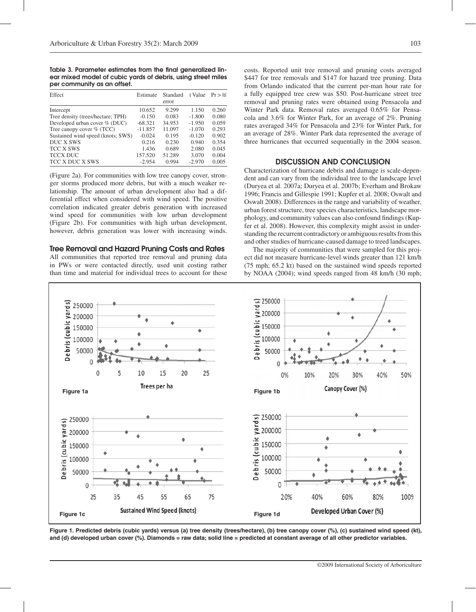Table 3. Parameter estimates from the final generalized linear mixed model of cubic yards of debris, using street miles per community as an offset.

| Effect                            | Estimate  | Standard<br>error | t Value  | Pr >  t |
|-----------------------------------|-----------|-------------------|----------|---------|
| Intercept                         | 10.652    | 9.299             | 1.150    | 0.260   |
| Tree density (trees/hectare; TPH) | $-0.150$  | 0.083             | $-1.800$ | 0.080   |
| Developed urban cover % (DUC)     | $-68.321$ | 34.953            | $-1.950$ | 0.059   |
| Tree canopy cover $\%$ (TCC)      | $-11.857$ | 11.097            | $-1.070$ | 0.293   |
| Sustained wind speed (knots; SWS) | $-0.024$  | 0.195             | $-0.120$ | 0.902   |
| DUC X SWS                         | 0.216     | 0.230             | 0.940    | 0.354   |
| TCC X SWS                         | 1.436     | 0.689             | 2.080    | 0.045   |
| <b>TCCX DUC</b>                   | 157.520   | 51.289            | 3.070    | 0.004   |
| TCC X DUC X SWS                   | $-2.954$  | 0.994             | $-2.970$ | 0.005   |

(Figure 2a). For communities with low tree canopy cover, stronger storms produced more debris, but with a much weaker relationship. The amount of urban development also had a differential effect when considered with wind speed. The positive correlation indicated greater debris generation with increased wind speed for communities with low urban development (Figure 2b). For communities with high urban development, however, debris generation was lower with increasing winds.

### Tree Removal and Hazard Pruning Costs and Rates

All communities that reported tree removal and pruning data in PWs or were contacted directly, used unit costing rather than time and material for individual trees to account for these

costs. Reported unit tree removal and pruning costs averaged \$447 for tree removals and \$147 for hazard tree pruning. Data from Orlando indicated that the current per-man hour rate for a fully equipped tree crew was \$50. Post-hurricane street tree removal and pruning rates were obtained using Pensacola and Winter Park data. Removal rates averaged 0.65% for Pensacola and 3.6% for Winter Park, for an average of 2%. Pruning rates averaged 34% for Pensacola and 23% for Winter Park, for an average of 28%. Winter Park data represented the average of three hurricanes that occurred sequentially in the 2004 season.

## DISCUSSION AND CONCLUSION

Characterization of hurricane debris and damage is scale-dependent and can vary from the individual tree to the landscape level (Duryea et al. 2007a; Duryea et al. 2007b; Everham and Brokaw 1996; Francis and Gillespie 1991; Kupfer et al. 2008; Oswalt and Oswalt 2008). Differences in the range and variability of weather, urban forest structure, tree species characteristics, landscape morphology, and community values can also confound findings (Kupfer et al. 2008). However, this complexity might assist in understanding the recurrent contradictory or ambiguous results from this and other studies of hurricane-caused damage to treed landscapes.

The majority of communities that were sampled for this project did not measure hurricane-level winds greater than 121 km/h (75 mph; 65.2 kt) based on the sustained wind speeds reported by NOAA (2004); wind speeds ranged from 48 km/h (30 mph;



**Figure 1. Predicted debris (cubic yards) versus (a) tree density (trees/hectare), (b) tree canopy cover (%), (c) sustained wind speed (kt), and (d) developed urban cover (%). Diamonds = raw data; solid line = predicted at constant average of all other predictor variables.**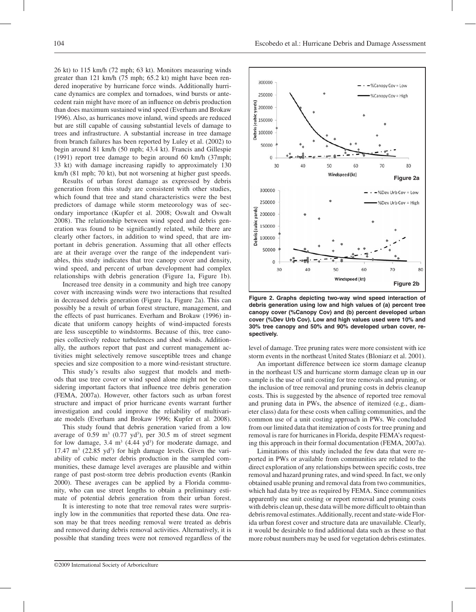26 kt) to 115 km/h (72 mph; 63 kt). Monitors measuring winds greater than 121 km/h (75 mph; 65.2 kt) might have been rendered inoperative by hurricane force winds. Additionally hurricane dynamics are complex and tornadoes, wind bursts or antecedent rain might have more of an influence on debris production than does maximum sustained wind speed (Everham and Brokaw 1996). Also, as hurricanes move inland, wind speeds are reduced but are still capable of causing substantial levels of damage to trees and infrastructure. A substantial increase in tree damage from branch failures has been reported by Luley et al. (2002) to begin around 81 km/h (50 mph; 43.4 kt). Francis and Gillespie (1991) report tree damage to begin around 60 km/h (37mph; 33 kt) with damage increasing rapidly to approximately 130 km/h (81 mph; 70 kt), but not worsening at higher gust speeds.

Results of urban forest damage as expressed by debris generation from this study are consistent with other studies, which found that tree and stand characteristics were the best predictors of damage while storm meteorology was of secondary importance (Kupfer et al. 2008; Oswalt and Oswalt 2008). The relationship between wind speed and debris generation was found to be significantly related, while there are clearly other factors, in addition to wind speed, that are important in debris generation. Assuming that all other effects are at their average over the range of the independent variables, this study indicates that tree canopy cover and density, wind speed, and percent of urban development had complex relationships with debris generation (Figure 1a, Figure 1b).

Increased tree density in a community and high tree canopy cover with increasing winds were two interactions that resulted in decreased debris generation (Figure 1a, Figure 2a). This can possibly be a result of urban forest structure, management, and the effects of past hurricanes. Everham and Brokaw (1996) indicate that uniform canopy heights of wind-impacted forests are less susceptible to windstorms. Because of this, tree canopies collectively reduce turbulences and shed winds. Additionally, the authors report that past and current management activities might selectively remove susceptible trees and change species and size composition to a more wind-resistant structure.

This study's results also suggest that models and methods that use tree cover or wind speed alone might not be considering important factors that influence tree debris generation (FEMA, 2007a). However, other factors such as urban forest structure and impact of prior hurricane events warrant further investigation and could improve the reliability of multivariate models (Everham and Brokaw 1996; Kupfer et al. 2008).

This study found that debris generation varied from a low average of  $0.59 \text{ m}^3$   $(0.77 \text{ yd}^3)$ , per  $30.5 \text{ m}$  of street segment for low damage,  $3.4 \text{ m}^3$  (4.44 yd<sup>3</sup>) for moderate damage, and  $17.47 \text{ m}^3$  (22.85 yd<sup>3</sup>) for high damage levels. Given the variability of cubic meter debris production in the sampled communities, these damage level averages are plausible and within range of past post-storm tree debris production events (Rankin 2000). These averages can be applied by a Florida community, who can use street lengths to obtain a preliminary estimate of potential debris generation from their urban forest.

It is interesting to note that tree removal rates were surprisingly low in the communities that reported these data. One reason may be that trees needing removal were treated as debris and removed during debris removal activities. Alternatively, it is possible that standing trees were not removed regardless of the



**Figure 2. Graphs depicting two-way wind speed interaction of debris generation using low and high values of (a) percent tree canopy cover (%Canopy Cov) and (b) percent developed urban cover (%Dev Urb Cov). Low and high values used were 10% and 30% tree canopy and 50% and 90% developed urban cover, respectively.** 

level of damage. Tree pruning rates were more consistent with ice storm events in the northeast United States (Bloniarz et al. 2001).

An important difference between ice storm damage cleanup in the northeast US and hurricane storm damage clean up in our sample is the use of unit costing for tree removals and pruning, or the inclusion of tree removal and pruning costs in debris cleanup costs. This is suggested by the absence of reported tree removal and pruning data in PWs, the absence of itemized (e.g., diameter class) data for these costs when calling communities, and the common use of a unit costing approach in PWs. We concluded from our limited data that itemization of costs for tree pruning and removal is rare for hurricanes in Florida, despite FEMA's requesting this approach in their formal documentation (FEMA, 2007a).

Limitations of this study included the few data that were reported in PWs or available from communities are related to the direct exploration of any relationships between specific costs, tree removal and hazard pruning rates, and wind speed. In fact, we only obtained usable pruning and removal data from two communities, which had data by tree as required by FEMA. Since communities apparently use unit costing or report removal and pruning costs with debris clean up, these data will be more difficult to obtain than debris removal estimates. Additionally, recent and state-wide Florida urban forest cover and structure data are unavailable. Clearly, it would be desirable to find additional data such as these so that more robust numbers may be used for vegetation debris estimates.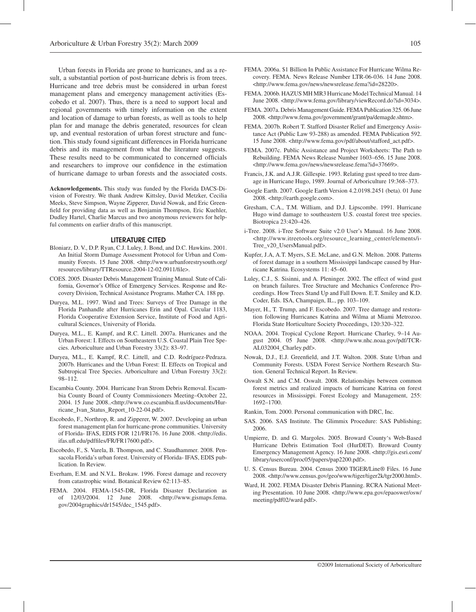Urban forests in Florida are prone to hurricanes, and as a result, a substantial portion of post-hurricane debris is from trees. Hurricane and tree debris must be considered in urban forest management plans and emergency management activities (Escobedo et al. 2007). Thus, there is a need to support local and regional governments with timely information on the extent and location of damage to urban forests, as well as tools to help plan for and manage the debris generated, resources for clean up, and eventual restoration of urban forest structure and function. This study found significant differences in Florida hurricane debris and its management from what the literature suggests. These results need to be communicated to concerned officials and researchers to improve our confidence in the estimation of hurricane damage to urban forests and the associated costs.

**Acknowledgements.** This study was funded by the Florida DACS-Division of Forestry. We thank Andrew Kittsley, David Metzker, Cecilia Meeks, Steve Simpson, Wayne Zipperer, David Nowak, and Eric Greenfield for providing data as well as Benjamin Thompson, Eric Kuehler, Dudley Hartel, Charlie Marcus and two anonymous reviewers for helpful comments on earlier drafts of this manuscript.

#### LITERATURE CITED

- Bloniarz, D. V., D.P. Ryan, C.J. Luley, J. Bond, and D.C. Hawkins. 2001. An Initial Storm Damage Assessment Protocol for Urban and Community Forests. 15 June 2008. <http://www.urbanforestrysouth.org/ resources/library/TTResource.2004-12-02.0911/file>.
- COES. 2005. Disaster Debris Management Training Manual. State of California, Governor's Office of Emergency Services. Response and Recovery Division, Technical Assistance Programs. Mather CA. 188 pp.
- Duryea, M.L. 1997. Wind and Trees: Surveys of Tree Damage in the Florida Panhandle after Hurricanes Erin and Opal. Circular 1183, Florida Cooperative Extension Service, Institute of Food and Agricultural Sciences, University of Florida.
- Duryea, M.L., E. Kampf, and R.C. Littell. 2007a. Hurricanes and the Urban Forest: I. Effects on Southeastern U.S. Coastal Plain Tree Species. Arboriculture and Urban Forestry 33(2): 83–97.
- Duryea, M.L., E. Kampf, R.C. Littell, and C.D. Rodríguez-Pedraza. 2007b. Hurricanes and the Urban Forest: II. Effects on Tropical and Subtropical Tree Species. Arboriculture and Urban Forestry 33(2): 98–112.
- Escambia County. 2004. Hurricane Ivan Strom Debris Removal. Escambia County Board of County Commissioners Meeting–October 22, 2004. 15 June 2008..<http://www.co.escambia.fl.us/documents/Hurricane\_Ivan\_Status\_Report\_10-22-04.pdf>.
- Escobedo, F., Northrop, R. and Zipperer, W. 2007. Developing an urban forest management plan for hurricane-prone communities. University of Florida- IFAS, EDIS FOR 121/FR176. 16 June 2008. <http://edis. ifas.ufl.edu/pdffiles/FR/FR17600.pdf>.
- Escobedo, F., S. Varela, B. Thompson, and C. Staudhammer. 2008. Pensacola Florida's urban forest. University of Florida- IFAS, EDIS publication. In Review.
- Everham, E.M. and N.V.L. Brokaw. 1996. Forest damage and recovery from catastrophic wind. Botanical Review 62:113–85.
- FEMA. 2004. FEMA-1545-DR, Florida Disaster Declaration as of 12/03/2004. 12 June 2008. <http://www.gismaps.fema. gov/2004graphics/dr1545/dec\_1545.pdf>.
- FEMA. 2006a. \$1 Billion In Public Assistance For Hurricane Wilma Recovery. FEMA. News Release Number LTR-06-036. 14 June 2008. <http://www.fema.gov/news/newsrelease.fema?id=28220>.
- FEMA. 2006b. HAZUS MH MR3 Hurricane Model Technical Manual. 14 June 2008. <http://www.fema.gov/library/viewRecord.do?id=3034>.
- FEMA. 2007a. Debris Management Guide. FEMA Publication 325. 06 June 2008. <http://www.fema.gov/government/grant/pa/demagde.shtm>.
- FEMA. 2007b. Robert T. Stafford Disaster Relief and Emergency Assistance Act (Public Law 93-288) as amended. FEMA Publication 592. 15 June 2008. <http://www.fema.gov/pdf/about/stafford\_act.pdf>.
- FEMA. 2007c. Public Assistance and Project Worksheets: The Path to Rebuilding. FEMA News Release Number 1603–656. 15 June 2008. <http://www.fema.gov/news/newsrelease.fema?id=37669>.
- Francis, J.K. and A.J.R. Gillespie. 1993. Relating gust speed to tree damage in Hurricane Hugo, 1989. Journal of Arboriculture 19:368–373.
- Google Earth. 2007. Google Earth Version 4.2.0198.2451 (beta). 01 June 2008. <http://earth.google.com>.
- Gresham, C.A., T.M. William, and D.J. Lipscombe. 1991. Hurricane Hugo wind damage to southeastern U.S. coastal forest tree species. Biotropica 23:420–426.
- i-Tree. 2008. i-Tree Software Suite v2.0 User's Manual. 16 June 2008. <http://www.itreetools.org/resource\_learning\_center/elements/i-Tree\_v20\_UsersManual.pdf>.
- Kupfer, J.A, A.T. Myers, S.E. McLane, and G.N. Melton. 2008. Patterns of forest damage in a southern Mississippi landscape caused by Hurricane Katrina. Ecosystems 11: 45–60.
- Luley, C.J., S. Sisinni, and A. Pleninger. 2002. The effect of wind gust on branch failures. Tree Structure and Mechanics Conference Proceedings. How Trees Stand Up and Fall Down. E.T. Smiley and K.D. Coder, Eds. ISA, Champaign, IL., pp. 103–109.
- Mayer, H., T. Trump, and F. Escobedo. 2007. Tree damage and restoration following Hurricanes Katrina and Wilma at Miami Metrozoo. Florida State Horticulture Society Proceedings, 120:320–322.
- NOAA. 2004. Tropical Cyclone Report. Hurricane Charley, 9–14 August 2004. 05 June 2008. <http://www.nhc.noaa.gov/pdf/TCR-AL032004\_Charley.pdf>.
- Nowak, D.J., E.J. Greenfield, and J.T. Walton. 2008. State Urban and Community Forests. USDA Forest Service Northern Research Station. General Technical Report. In Review.
- Oswalt S.N. and C.M. Oswalt. 2008. Relationships between common forest metrics and realized impacts of hurricane Katrina on forest resources in Mississippi. Forest Ecology and Management, 255: 1692–1700.
- Rankin, Tom. 2000. Personal communication with DRC, Inc.
- SAS. 2006. SAS Institute. The Glimmix Procedure: SAS Publishing; 2006.
- Umpierre, D. and G. Margoles. 2005. Broward County's Web-Based Hurricane Debris Estimation Tool (HurDET). Broward County Emergency Management Agency. 16 June 2008. <http://gis.esri.com/ library/userconf/proc05/papers/pap2200.pdf>.
- U. S. Census Bureau. 2004. Census 2000 TIGER/Line® Files. 16 June 2008. <http://www.census.gov/geo/www/tiger/tiger2k/tgr2000.html>.
- Ward, H. 2002. FEMA Disaster Debris Planning. RCRA National Meeting Presentation. 10 June 2008. <http://www.epa.gov/epaoswer/osw/ meeting/pdf02/ward.pdf>.